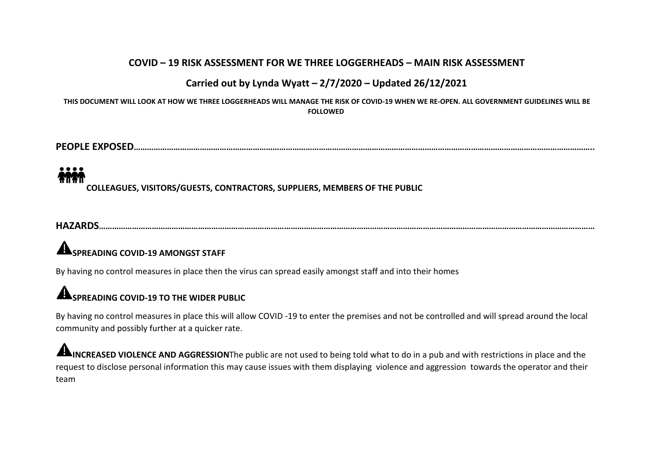### **COVID – 19 RISK ASSESSMENT FOR WE THREE LOGGERHEADS – MAIN RISK ASSESSMENT**

### **Carried out by Lynda Wyatt– 2/7/2020 – Updated 26/12/2021**

THIS DOCUMENT WILL LOOK AT HOW WE THREE LOGGERHEADS WILL MANAGE THE RISK OF COVID-19 WHEN WE RE-OPEN. ALL GOVERNMENT GUIDELINES WILL BE **FOLLOWED**

**PEOPLE EXPOSED………………………………………………………………………………………………………………………………………………………………………………………..**

**COLLEAGUES, VISITORS/GUESTS, CONTRACTORS, SUPPLIERS, MEMBERS OF THE PUBLIC**

**HAZARDS………………………………………………………………………………………………………………………………………………………………………………………………………**

## **SPREADING COVID-19 AMONGST STAFF**

By having no control measures in place then the virus can spread easily amongst staff and into their homes

## **SPREADING COVID-19 TO THE WIDER PUBLIC**

By having no control measures in place this will allow COVID -19 to enterthe premises and not be controlled and will spread around the local community and possibly further at a quicker rate.

**INCREASED VIOLENCE AND AGGRESSION**The public are not used to being told what to do in a pub and with restrictions in place and the request to disclose personal information this may cause issues with them displaying violence and aggression towards the operator and their team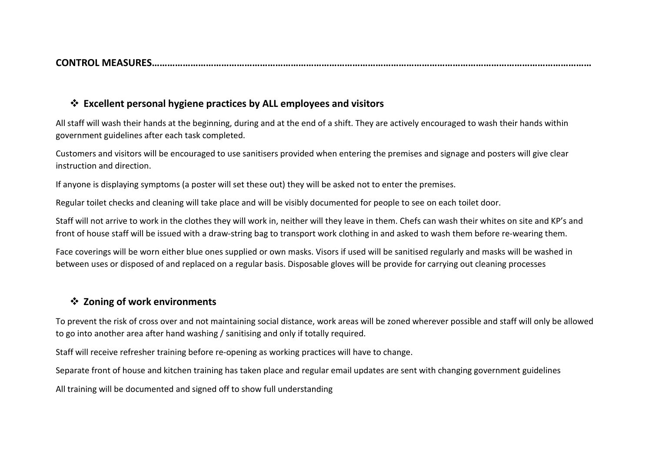**CONTROL MEASURES………………………………………………………………………………………………………………………………………………………**

### **Excellent personal hygiene practices by ALL employees and visitors**

All staff will wash their hands at the beginning, during and at the end of a shift. They are actively encouraged to wash their hands within government guidelines after each task completed.

Customers and visitors will be encouraged to use sanitisers provided when entering the premises and signage and posters will give clear instruction and direction.

If anyone is displaying symptoms (a poster will set these out) they will be asked not to enter the premises.

Regular toilet checks and cleaning will take place and will be visibly documented for people to see on each toilet door.

Staff will not arrive to work in the clothes they will work in, neither will they leave in them. Chefs can wash their whites on site and KP's and front of house staff will be issued with a draw-string bag to transport work clothing in and asked to wash them before re-wearing them.

Face coverings will be worn either blue ones supplied or own masks. Visors if used will be sanitised regularly and masks will be washed in between uses or disposed of and replaced on a regular basis. Disposable gloves will be provide for carrying out cleaning processes

### **Zoning of work environments**

To prevent the risk of cross over and not maintaining social distance, work areas will be zoned wherever possible and staff will only be allowed to go into another area after hand washing / sanitising and only if totally required.

Staff will receive refresher training before re-opening as working practices will have to change.

Separate front of house and kitchen training has taken place and regular email updates are sent with changing government guidelines

All training will be documented and signed off to show full understanding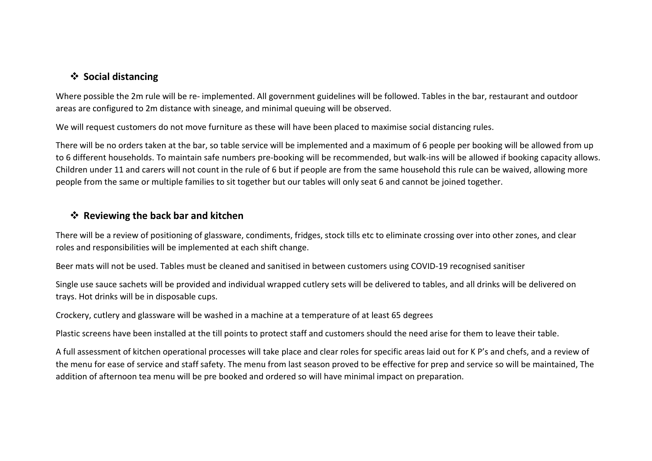### **Social distancing**

Where possible the 2m rule will be re- implemented. All government guidelines will be followed. Tables in the bar, restaurant and outdoor areas are configured to 2m distance with sineage, and minimal queuing will be observed.

We will request customers do not move furniture as these will have been placed to maximise social distancing rules.

There will be no orders taken at the bar, so table service will be implemented and a maximum of 6 people per booking will be allowed from up to 6 different households. To maintain safe numbers pre-booking will be recommended, but walk-ins will be allowed if booking capacity allows. Children under 11 and carers will not count in the rule of 6 but if people are from the same household this rule can be waived, allowing more people from the same or multiple families to sit together but our tables will only seat 6 and cannot be joined together.

### **Reviewing the back bar and kitchen**

There will be a review of positioning of glassware, condiments, fridges, stock tills etc to eliminate crossing over into other zones, and clear roles and responsibilities will be implemented at each shift change.

Beer mats will not be used. Tables must be cleaned and sanitised in between customers using COVID-19 recognised sanitiser

Single use sauce sachets will be provided and individual wrapped cutlery sets will be delivered to tables, and all drinks will be delivered on trays. Hot drinks will be in disposable cups.

Crockery, cutlery and glassware will be washed in a machine at a temperature of at least 65 degrees

Plastic screens have been installed at the till points to protect staff and customers should the need arise for them to leave their table.

A full assessment of kitchen operational processes will take place and clear roles for specific areas laid out for K P's and chefs, and a review of the menu for ease of service and staff safety. The menu from last season proved to be effective for prep and service so will be maintained, The addition of afternoon tea menu will be pre booked and ordered so will have minimal impact on preparation.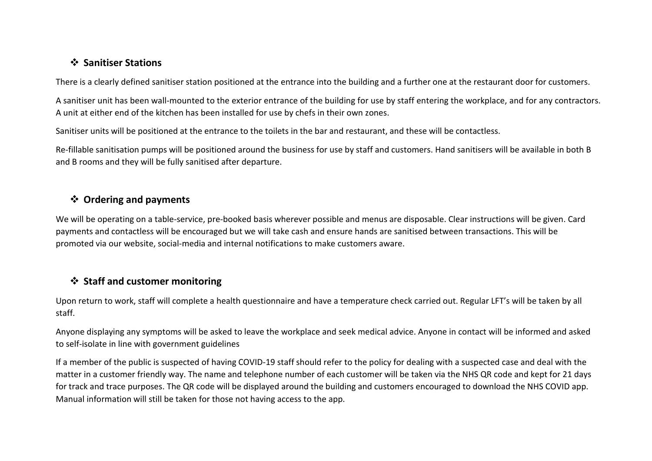### **Sanitiser Stations**

There is a clearly defined sanitiser station positioned at the entrance into the building and a further one at the restaurant door for customers.

A sanitiser unit has been wall-mounted to the exterior entrance of the building for use by staff entering the workplace,and for any contractors. A unit at either end of the kitchen has been installed for use by chefs in their own zones.

Sanitiser units will be positioned at the entrance to the toilets in the bar and restaurant, and these will be contactless.

Re-fillable sanitisation pumps will be positioned around the business for use by staff and customers. Hand sanitisers will be available in both B and B rooms and they will be fully sanitised after departure.

### **Ordering and payments**

We will be operating on a table-service, pre-booked basis wherever possible and menus are disposable. Clear instructions will be given. Card payments and contactless will be encouraged but we will take cash and ensure hands are sanitised between transactions. This will be promoted via our website, social-media and internal notifications to make customers aware.

### **Staff and customer monitoring**

Upon return to work, staff will complete a health questionnaire and have a temperature check carried out. Regular LFT's will be taken by all staff.

Anyone displaying any symptoms will be asked to leave the workplace and seek medical advice. Anyone in contact will be informed and asked to self-isolate in line with government guidelines

If a member of the public is suspected of having COVID-19 staff should refer to the policy for dealing with a suspected case and deal with the matter in a customer friendly way. The name and telephone number of each customer will be taken via the NHS QR code and kept for 21 days for track and trace purposes. The QR code will be displayed around the building and customers encouraged to download the NHS COVID app. Manual information will still be taken for those not having access to the app.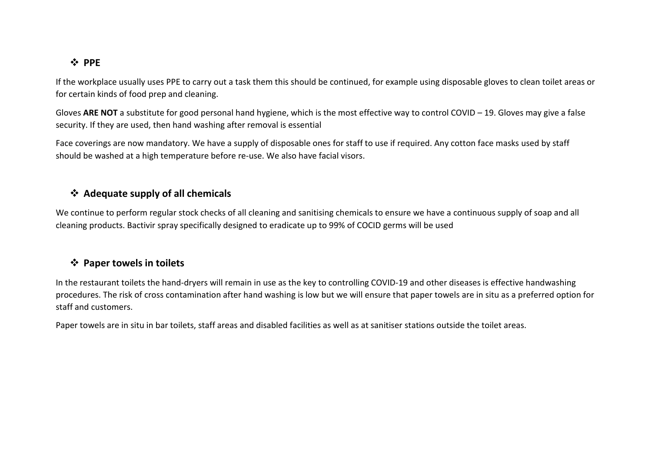### **PPE**

If the workplace usually uses PPE to carry out a task them this should be continued, for example using disposable gloves to clean toilet areas or for certain kinds of food prep and cleaning.

Gloves ARE NOT a substitute for good personal hand hygiene, which is the most effective way to control COVID – 19. Gloves may give a false security. If they are used, then hand washing after removal is essential

Face coverings are now mandatory. We have a supply of disposable ones for staff to use if required.Any cotton face masks used by staff should be washed at a high temperature before re-use. We also have facial visors.

### **Adequate supply of all chemicals**

We continue to perform regular stock checks of all cleaning and sanitising chemicals to ensure we have a continuous supply of soap and all cleaning products. Bactivir spray specifically designed to eradicate up to 99% of COCID germs will be used

### **Paper towels in toilets**

In the restaurant toilets the hand-dryers will remain in use as the key to controlling COVID-19 and other diseases is effective handwashing procedures. The risk of cross contamination after hand washing is low but we will ensure that paper towels are in situ as a preferred option for staff and customers.

Paper towels are in situ in bar toilets, staff areas and disabled facilities as well as at sanitiser stations outside the toilet areas.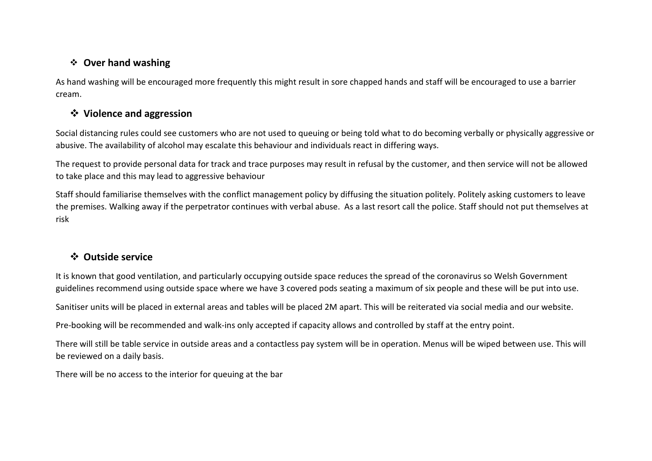### **Over hand washing**

As hand washing will be encouraged more frequently this might result in sore chapped hands and staff will be encouraged to use a barrier cream.

### **Violence and aggression**

Social distancing rules could see customers who are not used to queuing or being told what to do becoming verbally or physically aggressive or abusive. The availability of alcohol may escalate this behaviour and individuals react in differing ways.

The request to provide personal data for track and trace purposes may result in refusal by the customer, and then service will not be allowed to take place and this may lead to aggressive behaviour

Staff should familiarise themselves with the conflict management policy by diffusing the situation politely. Politely asking customers to leave the premises. Walking away ifthe perpetrator continues with verbal abuse. As a last resort call the police. Staff should not put themselves at risk

### **Outside service**

It is known that good ventilation, and particularly occupying outside space reduces the spread of the coronavirus so Welsh Government guidelines recommend using outside space where we have 3 covered pods seating a maximum of six people and these will be put into use.

Sanitiser units will be placed in external areas and tables will be placed 2M apart. This will be reiterated via social media and our website.

Pre-booking will be recommended and walk-ins only accepted if capacity allows and controlled by staff at the entry point.

There will still be table service in outside areas and a contactless pay system will be in operation. Menus will be wiped between use. This will be reviewed on a daily basis.

There will be no access to the interior for queuing at the bar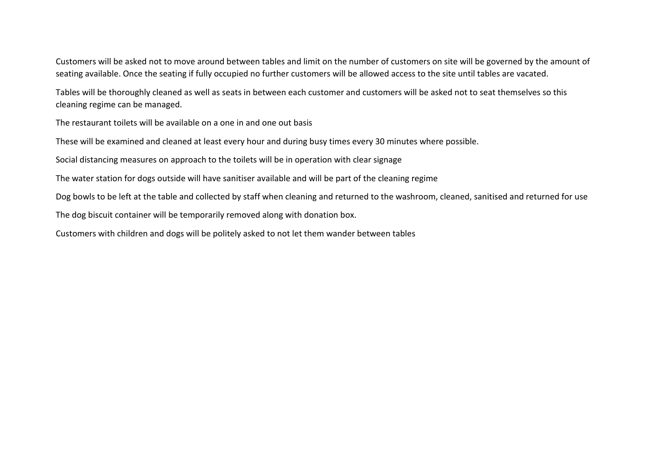Customers will be asked not to move around between tables and limit on the number of customers on site will be governed by the amount of seating available.Once the seating if fully occupied no further customers will be allowed access to the site until tables are vacated.

Tables will be thoroughly cleaned as well as seats in between each customer and customers will be asked not to seat themselves so this cleaning regime can be managed.

The restaurant toilets will be available on a one in and one out basis

These will be examined and cleaned at least every hour and during busy times every 30 minutes where possible.

Social distancing measures on approach to the toilets will be in operation with clear signage

The water station for dogs outside will have sanitiser available and will be part of the cleaning regime

Dog bowls to be left at the table and collected by staff when cleaning and returned to the washroom, cleaned, sanitised and returned for use

The dog biscuit container will be temporarily removed along with donation box.

Customers with children and dogs will be politely asked to not let them wander between tables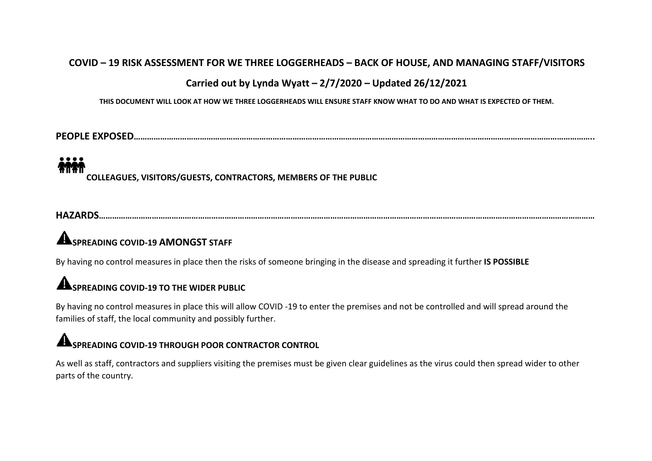### **COVID – 19 RISK ASSESSMENT FOR WE THREE LOGGERHEADS – BACK OF HOUSE, AND MANAGING STAFF/VISITORS**

### **Carried out by Lynda Wyatt– 2/7/2020 – Updated 26/12/2021**

THIS DOCUMENT WILL LOOK AT HOW WE THREE LOGGERHEADS WILL ENSURE STAFE KNOW WHAT TO DO AND WHAT IS EXPECTED OF THEM.

**PEOPLE EXPOSED………………………………………………………………………………………………………………………………………………………………………………………..**

# **AMAR**

**COLLEAGUES, VISITORS/GUESTS, CONTRACTORS, MEMBERS OF THE PUBLIC**

**HAZARDS………………………………………………………………………………………………………………………………………………………………………………………………………**

# **SPREADING COVID-19 AMONGST STAFF**

By having no control measures in place then the risksof someone bringing in the disease and spreading it further **IS POSSIBLE**

# **SPREADING COVID-19 TO THE WIDER PUBLIC**

By having no control measures in place this will allow COVID-19 to enter the premises and not be controlled and will spread around the families of staff, the local community and possibly further.

### **SPREADING COVID-19 THROUGH POOR CONTRACTOR CONTROL**

As well as staff, contractors and suppliers visiting the premises must be given clear guidelines as the virus could then spread wider to other parts of the country.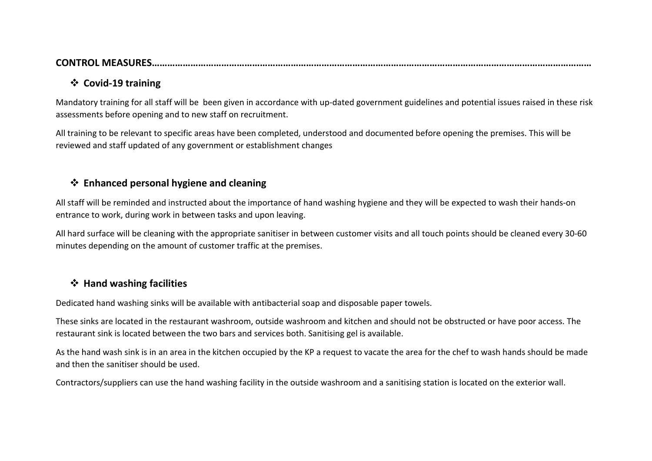### **CONTROL MEASURES………………………………………………………………………………………………………………………………………………………**

### **Covid-19 training**

Mandatory training for all staff will be been given in accordance with up-dated government guidelines and potential issues raised in these risk assessments before opening and to new staff on recruitment.

All training to be relevant to specific areas have been completed, understood and documented before opening the premises. This will be reviewed and staff updated of any government or establishment changes

### **Enhanced personal hygiene and cleaning**

All staff will be reminded and instructed about the importance of hand washing hygiene and they will be expected to wash their hands-on entrance to work, during work in between tasks and upon leaving.

All hard surface will be cleaning with the appropriate sanitiser in between customer visits and all touch points should be cleaned every 30-60 minutes depending on the amount of customer traffic at the premises.

### **Hand washing facilities**

Dedicated hand washing sinks will be available with antibacterial soap and disposable paper towels.

These sinks are located in the restaurant washroom, outside washroom and kitchen and should not be obstructed or have poor access. The restaurant sink is located between the two bars and services both. Sanitising gel is available.

As the hand wash sink is in an area in the kitchen occupied by the KP a request to vacate the area for the chef to wash hands should be made and then the sanitiser should be used.

Contractors/suppliers can use the hand washing facility in the outside washroom and a sanitising station is located on the exterior wall.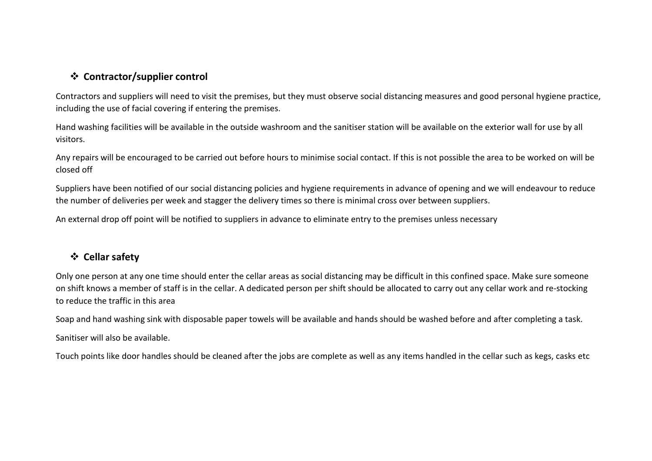### **Contractor/supplier control**

Contractors and suppliers will need to visit the premises, but they mustobserve social distancing measures and good personal hygiene practice, including the use of facial covering if entering the premises.

Hand washing facilities will be available in the outside washroom and the sanitiser station will be available on the exterior wall for use by all visitors.

Any repairs will be encouraged to be carried out before hours to minimise social contact. If this is not possible the area to be worked on will be closed off

Suppliers have been notified of our social distancing policies and hygiene requirements in advance of opening and we will endeavour to reduce the number of deliveries per week and stagger the delivery times so there is minimal cross over between suppliers.

An external drop off point will be notified to suppliers in advance to eliminate entry to the premises unless necessary

### **Cellar safety**

Only one person at any one time should enter the cellar areas as social distancing may be difficult in this confined space. Make sure someone on shift knows a member of staff is in the cellar. A dedicated person per shift should be allocated to carry out any cellar work and re-stocking to reduce the traffic in this area

Soap and hand washing sink with disposable paper towels will be available and hands should be washed before and after completing a task.

Sanitiser will also be available.

Touch points like door handles should be cleaned after the jobs are complete as well as any items handled in the cellar such as kegs, casks etc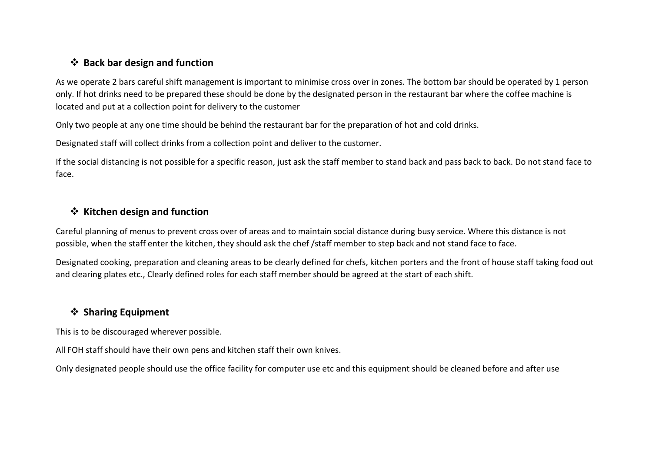### **Back bar design and function**

As we operate 2 bars careful shift management is important to minimise cross over in zones. The bottom bar should be operated by 1 person only. If hot drinks need to be prepared these should be done by the designated person in the restaurant bar where the coffee machine is located and put at a collection point for delivery to the customer

Only two people at any one time should be behind the restaurant bar for the preparation of hot and cold drinks.

Designated staff will collect drinks from a collection point and deliver to the customer.

If the social distancing is not possible for a specific reason, just ask the staff member to stand back and pass back to back. Do not stand face to face.

### **Kitchen design and function**

Careful planning of menus to prevent cross over of areas and to maintain social distance during busy service. Where this distance is not possible, when the staff enter the kitchen, they should ask the chef /staff member to step back and not stand face to face.<br>Designated cooking, preparation and cleaning areas to be clearly defined for chefs, kitchen porter

and clearing plates etc., Clearly defined roles for each staff member should be agreed at the start of each shift.

### **Sharing Equipment**

This is to be discouraged wherever possible.

All FOH staff should have their own pens and kitchen staff their own knives.

Only designated people should use the office facility for computer use etcand this equipment should be cleaned before and after use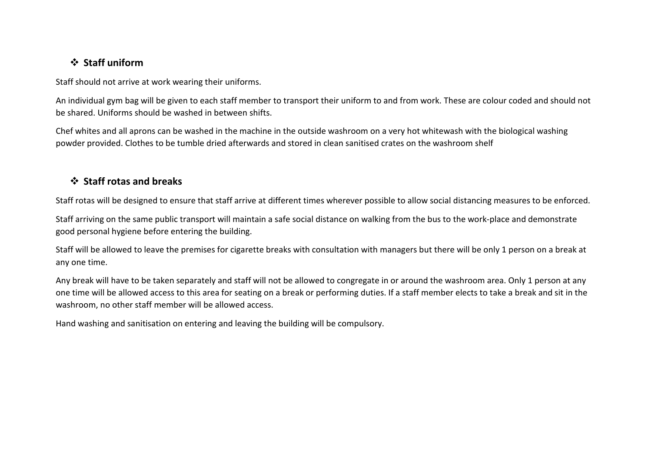### **Staff uniform**

Staff should not arrive at work wearing their uniforms.

An individual gym bag will be given to each staff member to transport their uniform to and from work. These are colourcoded and should not be shared. Uniforms should be washed in between shifts.

Chef whites and all aprons can be washed in the machine in the outside washroom on a very hot whitewash with the biological washing powder provided. Clothes to be tumble dried afterwards and stored in clean sanitised crates on the washroom shelf

### **Staff rotas and breaks**

Staff rotas will be designed to ensure that staff arrive at different times wherever possible to allow social distancing measures to be enforced.

Staff arriving on the same public transport will maintain a safe social distance on walking from the bus to the work-place and demonstrate good personal hygiene before entering the building.

Staff will be allowed to leave the premises for cigarette breaks with consultation with managers but there will be only 1 person on a break at any one time.

Any break will have to be taken separately and staff will not be allowed to congregate in or around the washroom area. Only 1 person at any one time will be allowed access to this area for seating on a break or performing duties. If a staff member elects to take a break and sit in the washroom, no other staff member will be allowed access.

Hand washing and sanitisation on entering and leaving the building will be compulsory.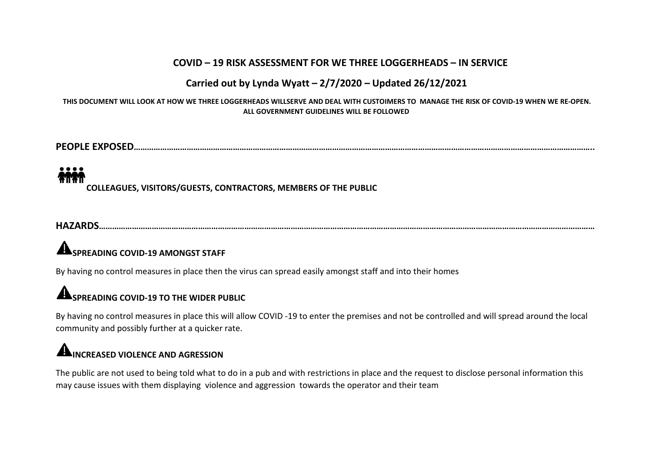### **COVID – 19 RISK ASSESSMENT FOR WE THREE LOGGERHEADS – IN SERVICE**

### **Carried out by Lynda Wyatt– 2/7/2020 – Updated 26/12/2021**

THIS DOCUMENT WILL LOOK AT HOW WE THREE LOGGERHEADS WILLSERVE AND DEAL WITH CUSTOIMERS TO MANAGE THE RISK OF COVID-19 WHEN WE RE-OPEN. **ALL GOVERNMENT GUIDELINES WILL BE FOLLOWED**

**PEOPLE EXPOSED………………………………………………………………………………………………………………………………………………………………………………………..**

**COLLEAGUES, VISITORS/GUESTS, CONTRACTORS, MEMBERS OF THE PUBLIC**

**HAZARDS………………………………………………………………………………………………………………………………………………………………………………………………………**

### **SPREADING COVID-19 AMONGST STAFF**

By having no control measures in place then the virus can spread easily amongst staff and into their homes

### **SPREADING COVID-19 TO THE WIDER PUBLIC**

By having no control measures in place this will allow COVID -19 to enterthe premises and not be controlled and will spread around the local community and possibly further at a quicker rate.

## **INCREASED VIOLENCE AND AGRESSION**

The public are not used to being told what to do in a pub and with restrictions in place and the request to disclose personal information this may cause issues with them displaying violence and aggression towards the operator and their team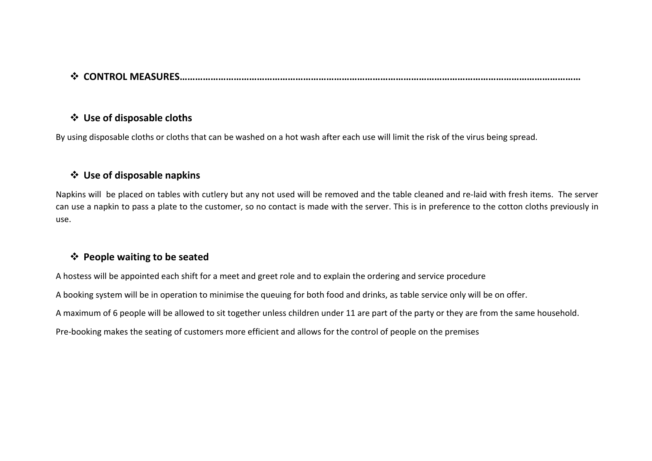### **CONTROL MEASURES…………………………………………………………………………………………………………………………………………**

### **Use of disposable cloths**

By using disposable cloths or cloths that can be washed on a hot wash after each use will limit the risk of the virus being spread.

### **Use of disposable napkins**

Napkins will be placed on tables with cutlery but any not used will be removed and the table cleaned and re-laid with fresh items. The server can use a napkin to pass a plate to the customer, so no contact is made with the server. This is in preference to the cotton cloths previously in use.

### **People waiting to be seated**

A hostess will be appointed each shift for a meet and greet role and to explain the ordering and service procedure

A booking system will be in operation to minimise the queuing for both food and drinks, as table service only will be on offer.

A maximum of 6 people will be allowed to sit together unless children under 11 are part of the party or they are from the same household.

Pre-booking makes the seating of customers more efficient and allows for the control of people on the premises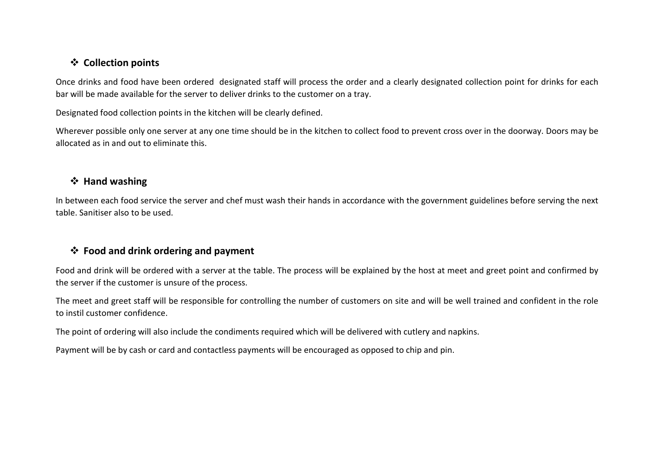### **Collection points**

Once drinks and food have been ordered designated staff will process the order and a clearly designated collection point for drinks for each bar will be made available for the server to deliver drinks to the customer on a tray.

Designated food collection points in the kitchen will be clearly defined.

Wherever possible only one server at any one time should be in the kitchen to collect food to prevent cross over in the doorway. Doors may be allocated as in and out to eliminate this.

### **Hand washing**

In between each food service the server and chef must wash their hands in accordance with the government guidelines before serving the next table. Sanitiser also to be used.

### **Food and drink ordering and payment**

Food and drink will be ordered with a server at the table. The process will be explained by the host at meet and greet point and confirmed by the server if the customer is unsure of the process.

The meet and greet staff will be responsible for controlling the number of customers on site and will be well trained and confident in the role to instil customer confidence.

The point of ordering will also include the condiments required which will be delivered with cutlery and napkins.

Payment will be by cash or card and contactless payments will be encouraged as opposed to chip and pin.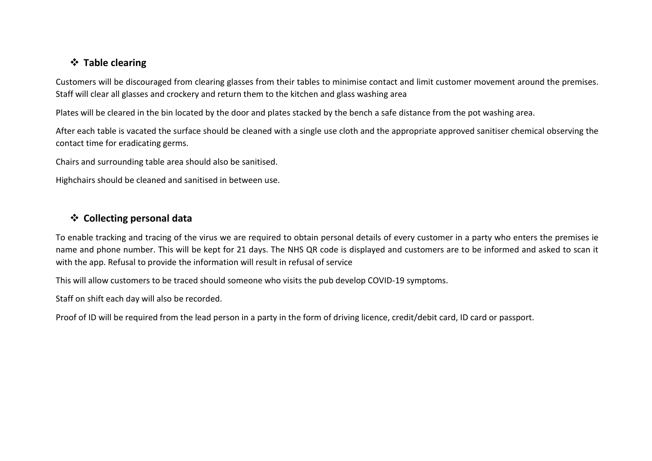### **Table clearing**

Customers will be discouraged from clearing glasses from their tables to minimise contact and limit customer movement around the premises. Staff will clear all glasses and crockery and return them to the kitchen and glass washing area

Plates will be cleared in the bin located by the door and plates stacked by the bench a safe distance from the pot washing area.

After each table is vacated the surface should be cleaned with a single use cloth and the appropriate approved sanitiser chemical observing the contact time for eradicating germs.

Chairs and surrounding table area should also be sanitised.

Highchairs should be cleaned and sanitised in between use.

### **Collecting personal data**

To enable tracking and tracing ofthe virus we are required to obtain personal details of every customer in a party who enters the premises ie name and phone number. This will be kept for 21 days. The NHS QR code is displayed and customers are to be informed and asked to scan it with the app. Refusal to provide the information will result in refusal of service

This will allow customers to be traced should someone who visits the pub develop COVID-19 symptoms.

Staff on shift each day will also be recorded.

Proof of ID will be required from the lead person in a party in the form of driving licence, credit/debit card, ID card or passport.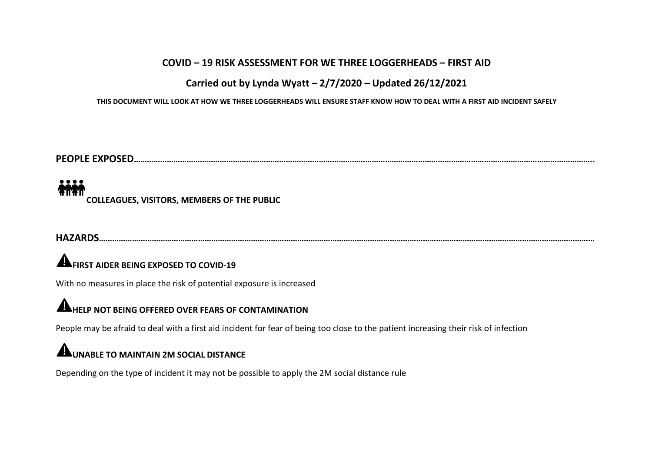### **COVID – 19 RISK ASSESSMENT FOR WE THREE LOGGERHEADS – FIRST AID**

### **Carried out by Lynda Wyatt– 2/7/2020 – Updated 26/12/2021**

THIS DOCUMENT WILL LOOK AT HOW WE THREE LOGGERHEADS WILL ENSURE STAFF KNOW HOW TO DEAL WITH A FIRST AID INCIDENT SAFELY

**PEOPLE EXPOSED………………………………………………………………………………………………………………………………………………………………………………………..**

### MM. **COLLEAGUES, VISITORS, MEMBERS OF THE PUBLIC**

**HAZARDS………………………………………………………………………………………………………………………………………………………………………………………………………**

# **FIRST AIDER BEING EXPOSED TO COVID-19**

With no measures in place the risk of potential exposure is increased

### **HELP NOT BEING OFFERED OVER FEARS OF CONTAMINATION**

People may be afraid to deal with a first aid incident for fear of being too close to the patient increasing their risk of infection

### **UNABLE TO MAINTAIN 2M SOCIAL DISTANCE**

Depending on the type of incident it may not be possible to apply the 2M social distance rule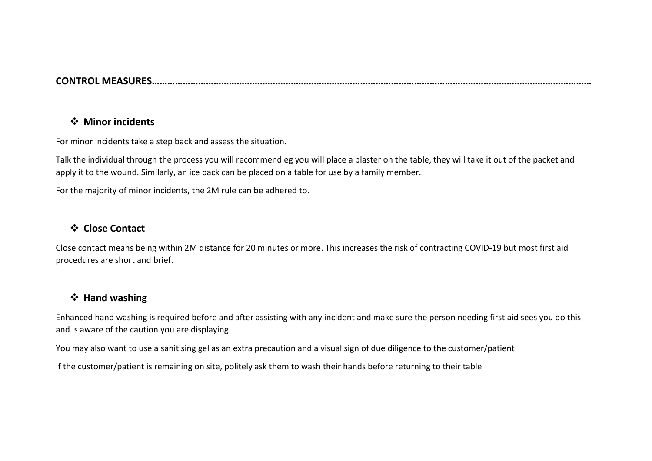### **CONTROL MEASURES………………………………………………………………………………………………………………………………………………………**

#### **Minor incidents**

For minor incidents take a step back and assess the situation.

Talk the individual through the process you will recommend eg you will place a plaster on the table, they will take it out of the packet and apply it to the wound. Similarly, an ice pack can be placed on a table for use by a family member.

For the majority of minor incidents, the 2M rule can be adhered to.

### **Close Contact**

Close contact means being within 2M distance for 20 minutes or more. This increases the risk of contracting COVID-19 but most first aid procedures are short and brief.

### **Hand washing**

Enhanced hand washing is required before and after assisting with any incident and make sure the person needing first aid sees you do this and is aware of the caution you are displaying.

You may also want to use a sanitising gel as an extra precaution and a visual sign of due diligence to the customer/patient

If the customer/patient is remaining on site, politely ask them to wash their hands before returning to their table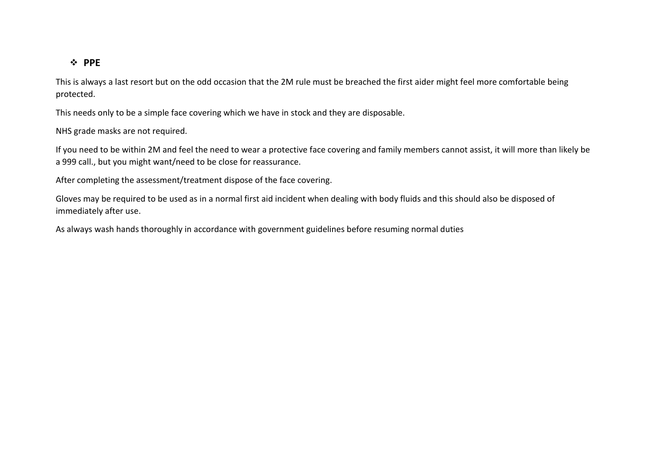#### **PPE**

This is always a last resort but on the odd occasion that the 2M rule must be breached the first aider might feel more comfortable being protected.

This needs only to be a simple face covering which we have in stock and they are disposable.

NHS grade masks are not required.

If you need to be within 2M and feel the need to wear a protective face covering and family members cannot assist, it will more than likely be a 999 call., but you might want/need to be close for reassurance.

After completing the assessment/treatment dispose of the face covering.

Gloves may be required to be used as in a normal first aid incident when dealing with body fluids and this should also be disposed of immediately after use.<br>As always wash hands thoroughly in accordance with government guidelines before resuming normal duties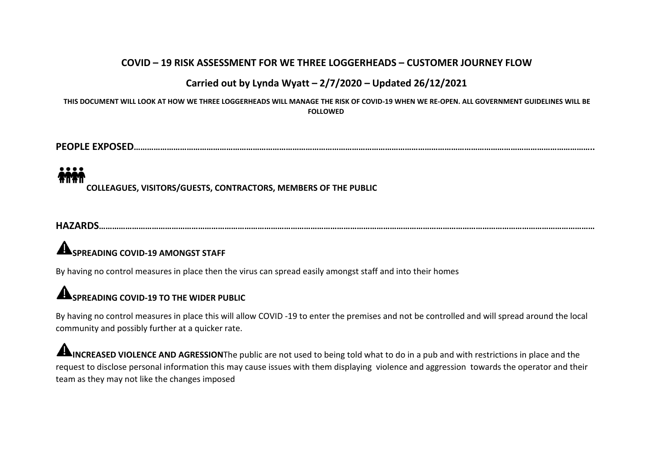### **COVID – 19 RISK ASSESSMENT FOR WE THREE LOGGERHEADS – CUSTOMER JOURNEY FLOW**

### **Carried out by Lynda Wyatt– 2/7/2020 – Updated 26/12/2021**

THIS DOCUMENT WILL LOOK AT HOW WE THREE LOGGERHEADS WILL MANAGE THE RISK OF COVID-19 WHEN WE RE-OPEN. ALL GOVERNMENT GUIDELINES WILL BE **FOLLOWED**

**PEOPLE EXPOSED………………………………………………………………………………………………………………………………………………………………………………………..**

**COLLEAGUES, VISITORS/GUESTS, CONTRACTORS, MEMBERS OF THE PUBLIC**

**HAZARDS………………………………………………………………………………………………………………………………………………………………………………………………………**

## **SPREADING COVID-19 AMONGST STAFF**

By having no control measures in place then the virus can spread easily amongst staff and into their homes

### **SPREADING COVID-19 TO THE WIDER PUBLIC**

By having no control measures in place this will allow COVID -19 to enterthe premises and not be controlled and will spread around the local community and possibly further at a quicker rate.

**INCREASED VIOLENCE AND AGRESSION**The public are not used to being told what to do in a pub and with restrictions in place and the request to disclose personal information this may cause issues with them displaying violence and aggression towards the operator and their team as they may not like the changes imposed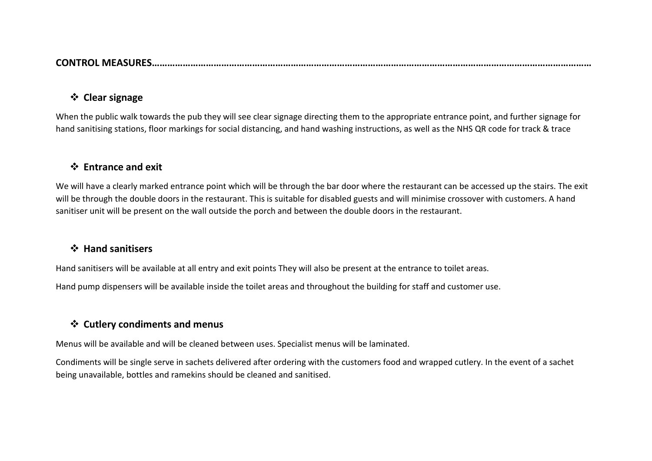| <b>CONTRO</b><br>wii<br>AJUNF |
|-------------------------------|
|-------------------------------|

### **Clear signage**

When the public walk towards the pub they will see clear signage directing them to the appropriate entrance point, and further signage for hand sanitising stations, floor markings for social distancing, and hand washing instructions, as well as the NHS QR code for track & trace

### **Entrance and exit**

We will have a clearly marked entrance point which will be through the bar door where the restaurant can be accessed up the stairs. The exit will be through the double doors in the restaurant. This is suitable for disabled guests and will minimise crossover with customers. A hand sanitiser unit will be present on the wall outside the porch and between the double doors in the restaurant.

#### **Hand sanitisers**

Hand sanitisers will be available at all entry and exit points They will also be present at the entrance to toilet areas.

Hand pump dispensers will be available inside the toilet areas and throughout the building for staff and customer use.

### **Cutlery condiments and menus**

Menus will be available and will be cleaned between uses. Specialist menus will be laminated.

Condiments will be single serve in sachets delivered after ordering with the customers food and wrapped cutlery. In the event of a sachet being unavailable, bottles and ramekins should be cleaned and sanitised.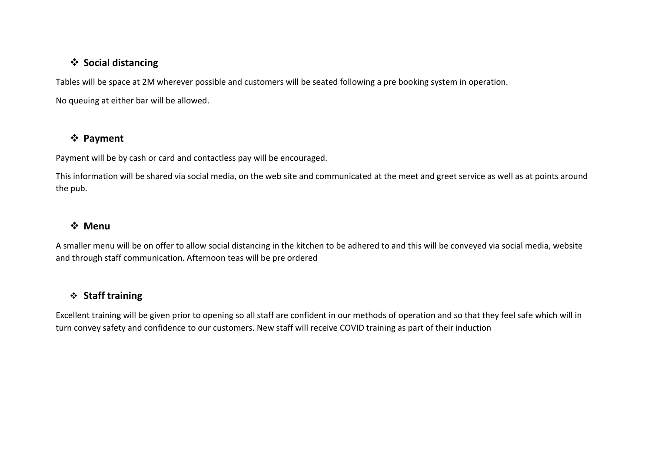### **Social distancing**

Tables will be space at 2M wherever possible and customers will be seated following a pre booking system in operation. No queuing at either bar will be allowed.

### **Payment**

Payment will be by cash or card and contactless pay will be encouraged.

This information will be shared via social media, on the web site and communicated at the meet and greet service as well as at points around the pub.

### **Menu**

A smaller menu will be on offer to allow social distancing in the kitchen to be adhered to and this will be conveyed via social media, website and through staff communication. Afternoon teas will be pre ordered

### **Staff training**

Excellent training will be given prior to opening so all staff are confident in our methods of operation and so that they feel safe which will in turn convey safety and confidence to our customers. New staff will receive COVID training as part of their induction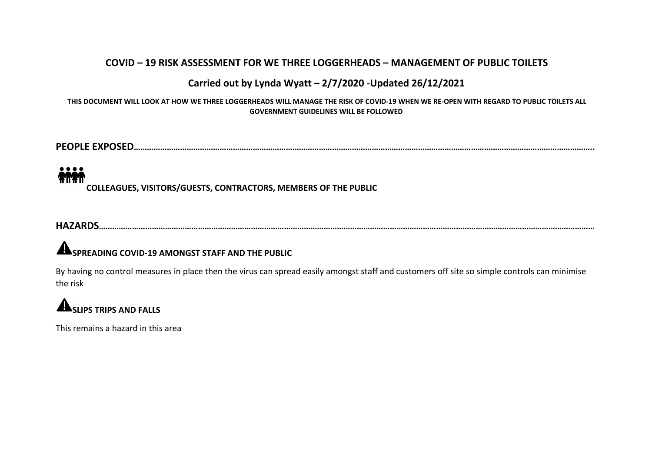### **COVID – 19 RISK ASSESSMENT FOR WE THREE LOGGERHEADS – MANAGEMENT OF PUBLIC TOILETS**

### **Carried out by Lynda Wyatt– 2/7/2020 -Updated 26/12/2021**

THIS DOCUMENT WILL LOOK AT HOW WE THREE LOGGERHEADS WILL MANAGE THE RISK OF COVID-19 WHEN WE RE-OPEN WITH REGARD TO PUBLIC TOILETS ALL **GOVERNMENT GUIDELINES WILL BE FOLLOWED**

**PEOPLE EXPOSED………………………………………………………………………………………………………………………………………………………………………………………..**

# MM.

**COLLEAGUES, VISITORS/GUESTS, CONTRACTORS, MEMBERS OF THE PUBLIC**

**HAZARDS………………………………………………………………………………………………………………………………………………………………………………………………………**

### **SPREADING COVID-19 AMONGST STAFF AND THE PUBLIC**

By having no control measures in place then the virus can spread easily amongst staff and customers off site so simple controls can minimise the risk

# **ASLIPS** TRIPS AND FALLS

This remains a hazard in this area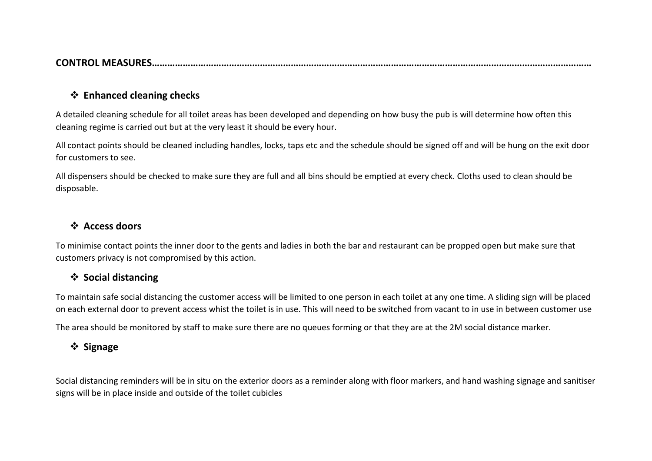| <b>CONTRO</b><br>MI |
|---------------------|
|---------------------|

#### **Enhanced cleaning checks**

A detailed cleaning schedule for all toilet areas has been developed and depending on how busy the pub is will determine how often this cleaning regime is carried out but at the very least it should be every hour.

All contact points should be cleaned including handles, locks, taps etc and the schedule should be signed off and will be hung on the exit door for customers to see.

All dispensers should be checked to make sure they are full and all bins should be emptied at every check. Cloths used to clean should be disposable.

### **Access doors**

To minimise contact points the inner door to the gents and ladies in both the bar and restaurant can be propped open but make sure that customers privacy is not compromised by this action.

### **❖** Social distancing

To maintain safe social distancing the customer access will be limited to one person in each toilet at any one time. A sliding sign will be placed on each external door to prevent access whist the toilet is in use. This will need to be switched from vacant to in use in between customer use

The area should be monitored by staff to make sure there are no queues forming or that they are at the 2M social distance marker.

### **Signage**

Social distancing reminders will be in situ on the exterior doors as a reminder along with floor markers, and hand washing signage and sanitiser signs will be in place inside and outside of the toilet cubicles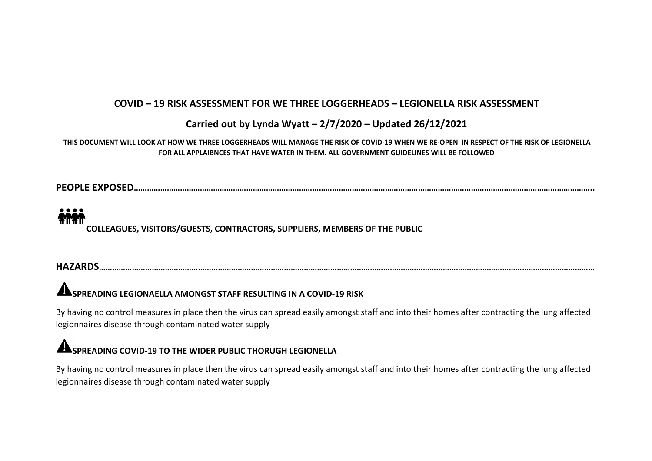### **COVID – 19 RISK ASSESSMENT FOR WE THREE LOGGERHEADS – LEGIONELLA RISK ASSESSMENT**

### **Carried out by Lynda Wyatt– 2/7/2020 – Updated 26/12/2021**

#### THIS DOCUMENT WILL LOOK AT HOW WE THREE LOGGERHEADS WILL MANAGE THE RISK OF COVID-19 WHEN WE RE-OPEN IN RESPECT OF THE RISK OF LEGIONELLA **FOR ALL APPLAIBNCES THAT HAVE WATER IN THEM. ALL GOVERNMENT GUIDELINES WILL BE FOLLOWED**

**PEOPLE EXPOSED………………………………………………………………………………………………………………………………………………………………………………………..**

### **ATTAT COLLEAGUES, VISITORS/GUESTS, CONTRACTORS, SUPPLIERS, MEMBERS OF THE PUBLIC**

### **HAZARDS………………………………………………………………………………………………………………………………………………………………………………………………………**

### **SPREADING LEGIONAELLA AMONGST STAFF RESULTING IN A COVID-19 RISK**

By having no control measures in place then the virus can spread easily amongst staff and into their homes after contracting the lung affected legionnaires disease through contaminated water supply

### **SPREADING COVID-19 TO THE WIDER PUBLIC THORUGH LEGIONELLA**

By having no control measures in place then the virus can spread easily amongst staff and into their homes after contracting the lung affected legionnaires disease through contaminated water supply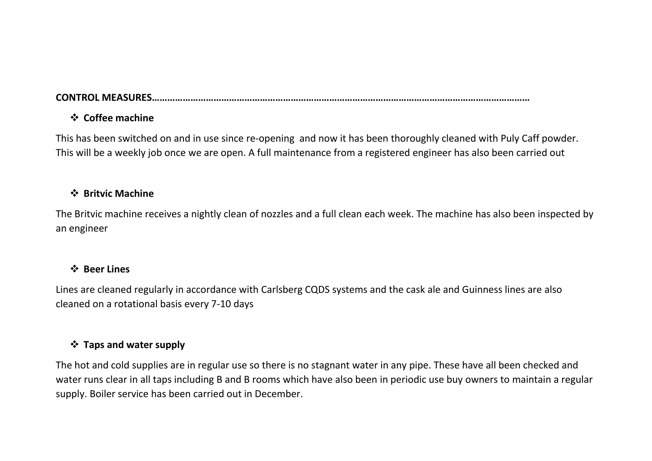### **CONTROL MEASURES…………………………………………………………………………………………………………………………………**

### **Coffee machine**

This has been switched on and in use since re-opening and now it has been thoroughly cleaned with Puly Caff powder. This will be a weekly job once we are open. A full maintenance from a registered engineer has also been carried out

### **Britvic Machine**

The Britvic machine receives a nightly clean of nozzles and a full clean each week. The machine has also been inspected by an engineer

### **Beer Lines**

Lines are cleaned regularly in accordance with Carlsberg CQDS systems and the cask ale and Guinness lines are also cleaned on a rotational basis every 7-10 days

### **Taps and water supply**

The hot and cold supplies are in regular use so there is no stagnant water in any pipe. These have all been checked and water runs clear in all taps including B and B rooms which have also been in periodic use buy owners to maintain a regular supply. Boiler service has been carried out in December.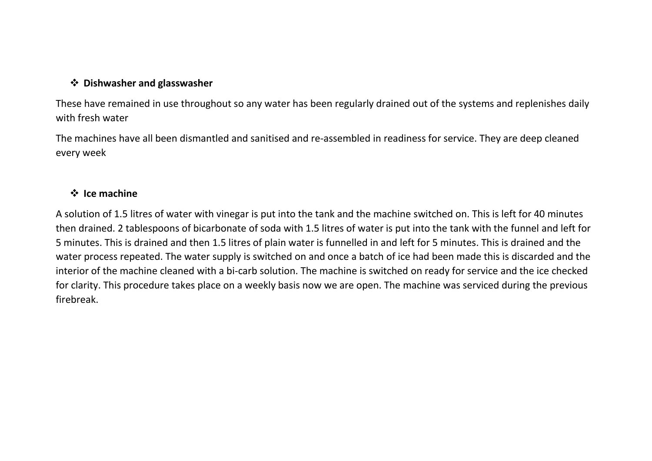### **Dishwasher and glasswasher**

These have remained in use throughout so any water has been regularly drained out of the systems and replenishes daily with fresh water

The machines have all been dismantled and sanitised and re-assembled in readiness for service. They are deep cleaned every week

### **Ice machine**

A solution of 1.5 litres of water with vinegar is put into the tank and the machine switched on. This is left for 40 minutes then drained. 2 tablespoons of bicarbonate of soda with 1.5 litres of water is put into the tank with the funnel and left for 5 minutes. This is drained and then 1.5 litres of plain water is funnelled in and left for 5 minutes. This is drained and the water process repeated. The water supply is switched on and once a batch of ice had been made this is discarded and the interior of the machine cleaned with a bi-carb solution. The machine is switched on ready for service and the ice checked for clarity. This procedure takes place on a weekly basis now we are open. The machine was serviced during the previous firebreak.